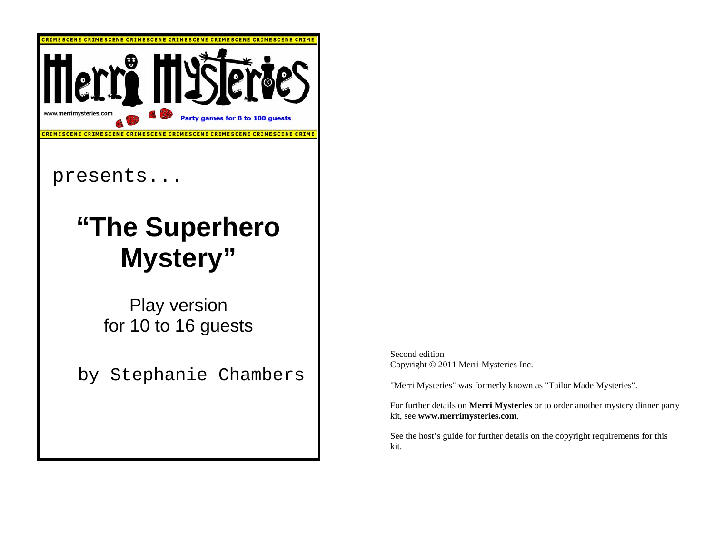

Second edition Copyright © 2011 Merri Mysteries Inc.

"Merri Mysteries" was formerly known as "Tailor Made Mysteries".

For further details on **Merri Mysteries** or to order another mystery dinner party kit, see **www.merrimysteries.com**.

See the host's guide for further details on the copyright requirements for this kit.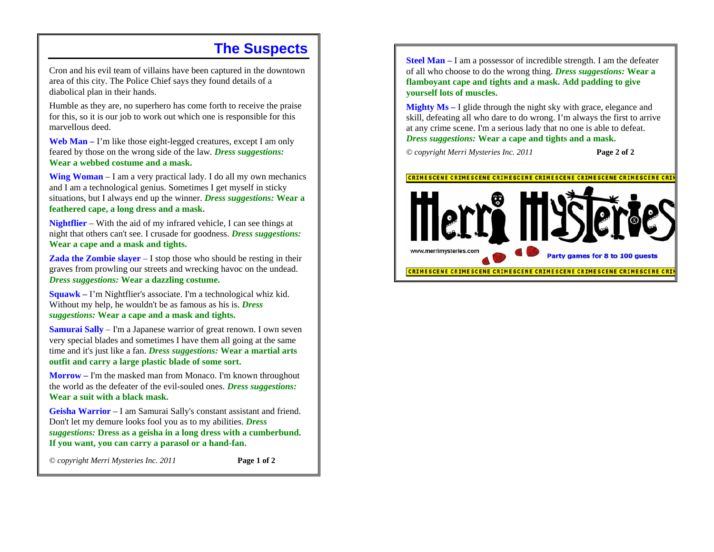### **The Suspects**

Cron and his evil team of villains have been captured in the downtown area of this city. The Police Chief says they found details of a diabolical plan in their hands.

Humble as they are, no superhero has come forth to receive the praise for this, so it is our job to work out which one is responsible for this marvellous deed.

**Web Man –** I'm like those eight-legged creatures, except I am only feared by those on the wrong side of the law. *Dress suggestions:* **Wear a webbed costume and a mask.**

**Wing Woman** *–* I am a very practical lady. I do all my own mechanics and I am a technological genius. Sometimes I get myself in sticky situations, but I always end up the winner. *Dress suggestions:* **Wear a feathered cape, a long dress and a mask.** 

**Nightflier** *–* With the aid of my infrared vehicle, I can see things at night that others can't see. I crusade for goodness. *Dress suggestions:* **Wear a cape and a mask and tights.**

**Zada the Zombie slayer** – I stop those who should be resting in their graves from prowling our streets and wrecking havoc on the undead. *Dress suggestions:* **Wear a dazzling costume.**

**Squawk –** I'm Nightflier's associate. I'm a technological whiz kid. Without my help, he wouldn't be as famous as his is. *Dress suggestions:* **Wear a cape and a mask and tights.**

**Samurai Sally** – I'm a Japanese warrior of great renown. I own seven very special blades and sometimes I have them all going at the same time and it's just like a fan. *Dress suggestions:* **Wear a martial arts outfit and carry a large plastic blade of some sort.**

**Morrow –** I'm the masked man from Monaco. I'm known throughout the world as the defeater of the evil-souled ones. *Dress suggestions:* **Wear a suit with a black mask.**

**Geisha Warrior** – I am Samurai Sally's constant assistant and friend. Don't let my demure looks fool you as to my abilities. *Dress suggestions:* **Dress as a geisha in a long dress with a cumberbund. If you want, you can carry a parasol or a hand-fan.**

*© copyright Merri Mysteries Inc. 2011* **Page 1 of 2**

**Steel Man –** I am a possessor of incredible strength. I am the defeater of all who choose to do the wrong thing. *Dress suggestions:* **Wear a flamboyant cape and tights and a mask. Add padding to give yourself lots of muscles.**

**Mighty Ms –** I glide through the night sky with grace, elegance and skill, defeating all who dare to do wrong. I'm always the first to arrive at any crime scene. I'm a serious lady that no one is able to defeat. *Dress suggestions:* **Wear a cape and tights and a mask.** 

*© copyright Merri Mysteries Inc. 2011* **Page 2 of 2** 

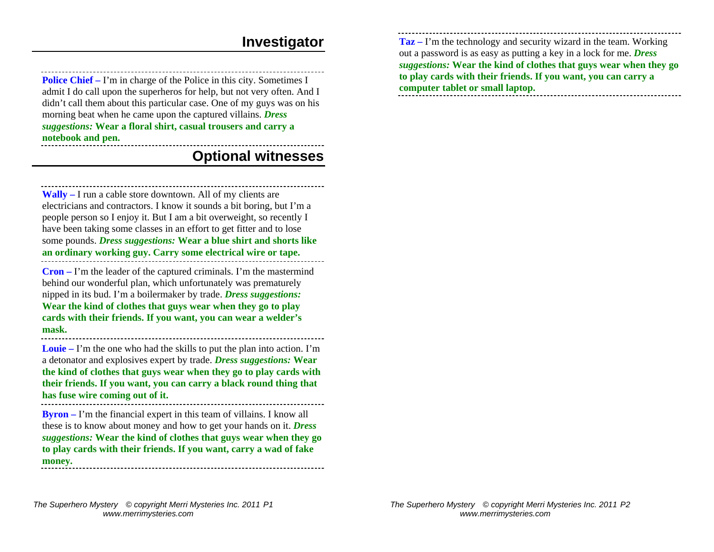#### **Investigator**

**Police Chief** – I'm in charge of the Police in this city. Sometimes I admit I do call upon the superheros for help, but not very often. And I didn't call them about this particular case. One of my guys was on his morning beat when he came upon the captured villains. *Dress suggestions:* **Wear a floral shirt, casual trousers and carry a notebook and pen.** 

### **Optional witnesses**

**Wally –** I run a cable store downtown. All of my clients are electricians and contractors. I know it sounds a bit boring, but I'm a people person so I enjoy it. But I am a bit overweight, so recently I have been taking some classes in an effort to get fitter and to lose some pounds. *Dress suggestions:* **Wear a blue shirt and shorts like an ordinary working guy. Carry some electrical wire or tape. Cron –** I'm the leader of the captured criminals. I'm the mastermind

behind our wonderful plan, which unfortunately was prematurely nipped in its bud. I'm a boilermaker by trade. *Dress suggestions:*  **Wear the kind of clothes that guys wear when they go to play cards with their friends. If you want, you can wear a welder's mask.**

**Louie –** I'm the one who had the skills to put the plan into action. I'm a detonator and explosives expert by trade. *Dress suggestions:* **Wear the kind of clothes that guys wear when they go to play cards with their friends. If you want, you can carry a black round thing that has fuse wire coming out of it.**

**Byron –** I'm the financial expert in this team of villains. I know all these is to know about money and how to get your hands on it. *Dress suggestions:* **Wear the kind of clothes that guys wear when they go to play cards with their friends. If you want, carry a wad of fake money.**

**Taz –** I'm the technology and security wizard in the team. Working out a password is as easy as putting a key in a lock for me. *Dress suggestions:* **Wear the kind of clothes that guys wear when they go to play cards with their friends. If you want, you can carry a computer tablet or small laptop.**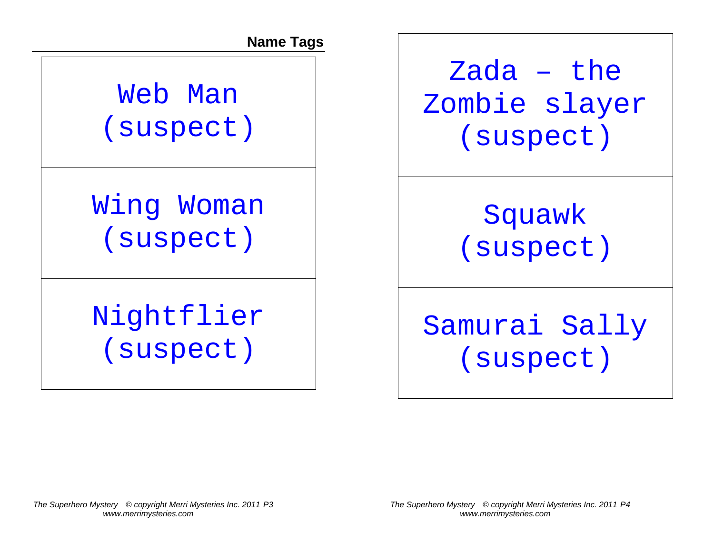**Name Tags** 

Web Man (suspect)

Wing Woman (suspect)

# Nightflier (suspect)

Zada – the Zombie slayer (suspect)

> Squawk (suspect)

Samurai Sally (suspect)

*The Superhero Mystery © copyright Merri Mysteries Inc. 2011 P4 www.merrimysteries.com*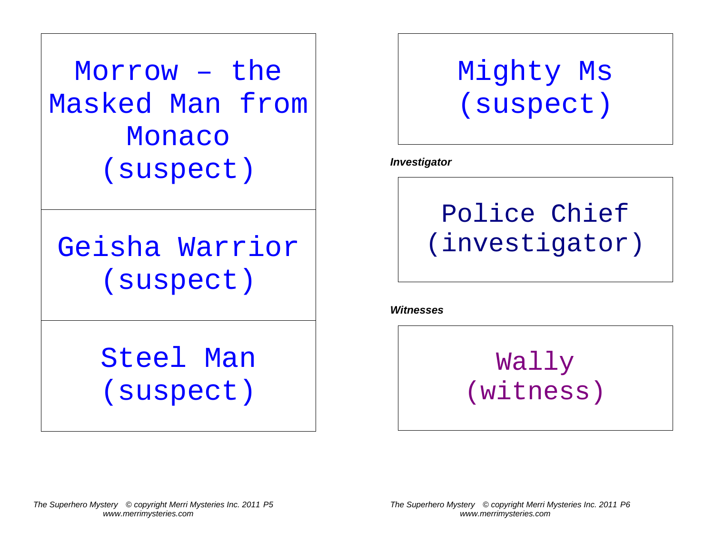Morrow – the Masked Man from Monaco (suspect)

Geisha Warrior (suspect)

> Steel Man (suspect)

## Mighty Ms (suspect)

*Investigator* 



*Witnesses* 

Wally (witness)

*The Superhero Mystery © copyright Merri Mysteries Inc. 2011 P6 www.merrimysteries.com*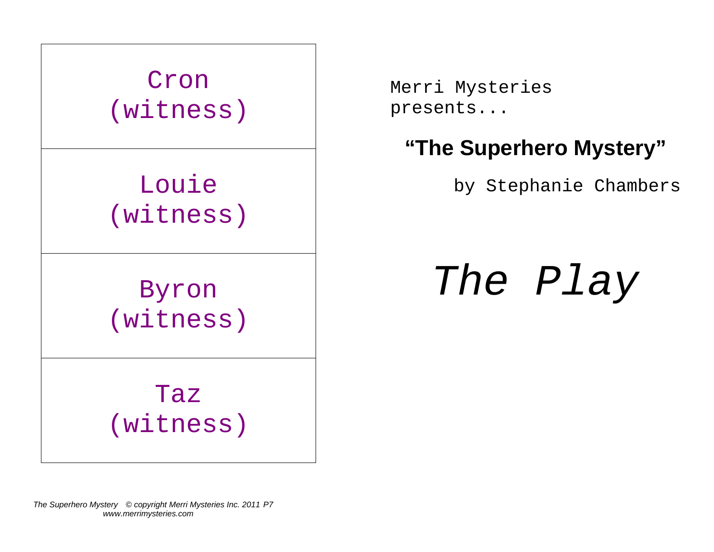

Merri Mysteries presents...

### **"The Superhero Mystery"**

by Stephanie Chambers

*The Play* 

*The Superhero Mystery © copyright Merri Mysteries Inc. 2011 P7 www.merrimysteries.com*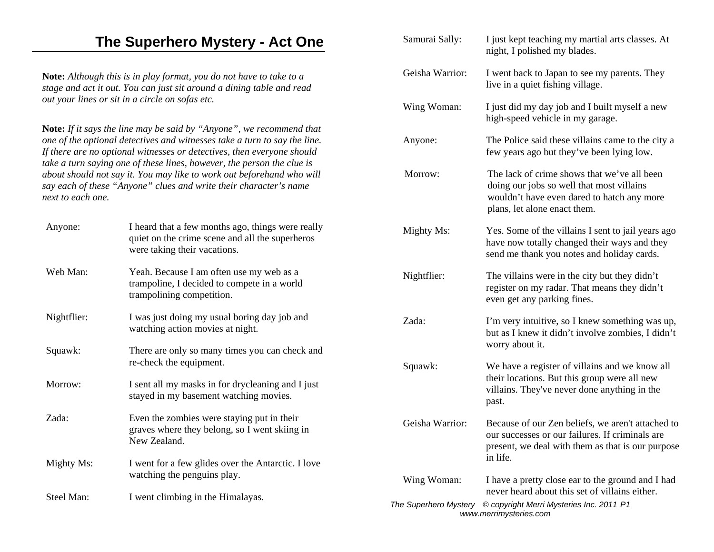### **The Superhero Mystery - Act One**

**Note:** *Although this is in play format, you do not have to take to a stage and act it out. You can just sit around a dining table and read out your lines or sit in a circle on sofas etc.*

**Note:** *If it says the line may be said by "Anyone", we recommend that one of the optional detectives and witnesses take a turn to say the line. If there are no optional witnesses or detectives, then everyone should take a turn saying one of these lines, however, the person the clue is about should not say it. You may like to work out beforehand who will say each of these "Anyone" clues and write their character's name next to each one.* 

| Anyone:                  | I heard that a few months ago, things were really<br>quiet on the crime scene and all the superheros<br>were taking their vacations. | Mighty Ms:             | Yes. Some of the villains I sent to jail years ago<br>have now totally changed their ways and they<br>send me thank you notes and holiday cards.          |  |
|--------------------------|--------------------------------------------------------------------------------------------------------------------------------------|------------------------|-----------------------------------------------------------------------------------------------------------------------------------------------------------|--|
| Web Man:                 | Yeah. Because I am often use my web as a<br>trampoline, I decided to compete in a world<br>trampolining competition.                 | Nightflier:            | The villains were in the city but they didn't<br>register on my radar. That means they didn't<br>even get any parking fines.                              |  |
| Nightflier:              | I was just doing my usual boring day job and<br>watching action movies at night.                                                     | Zada:                  | I'm very intuitive, so I knew something was up,<br>but as I knew it didn't involve zombies, I didn't                                                      |  |
| Squawk:                  | There are only so many times you can check and<br>re-check the equipment.                                                            |                        | worry about it.                                                                                                                                           |  |
|                          |                                                                                                                                      | Squawk:                | We have a register of villains and we know all                                                                                                            |  |
| Morrow:                  | I sent all my masks in for drycleaning and I just<br>stayed in my basement watching movies.                                          |                        | their locations. But this group were all new<br>villains. They've never done anything in the<br>past.                                                     |  |
| Zada:                    | Even the zombies were staying put in their<br>graves where they belong, so I went skiing in<br>New Zealand.                          | Geisha Warrior:        | Because of our Zen beliefs, we aren't attached to<br>our successes or our failures. If criminals are<br>present, we deal with them as that is our purpose |  |
| Mighty Ms:<br>Steel Man: | I went for a few glides over the Antarctic. I love<br>watching the penguins play.<br>I went climbing in the Himalayas.               |                        | in life.                                                                                                                                                  |  |
|                          |                                                                                                                                      | Wing Woman:            | I have a pretty close ear to the ground and I had<br>never heard about this set of villains either.                                                       |  |
|                          |                                                                                                                                      | The Superhero Mystery  | © copyright Merri Mysteries Inc. 2011 P1                                                                                                                  |  |
|                          |                                                                                                                                      | www.merrimysteries.com |                                                                                                                                                           |  |

Samurai Sally: I just kept teaching my martial arts classes. At night, I polished my blades.

Geisha Warrior: I went back to Japan to see my parents. They live in a quiet fishing village.

Wing Woman: I just did my day job and I built myself a new

Anyone: The Police said these villains came to the city a

Morrow: The lack of crime shows that we've all been

plans, let alone enact them.

high-speed vehicle in my garage.

few years ago but they've been lying low.

doing our jobs so well that most villains wouldn't have even dared to hatch any more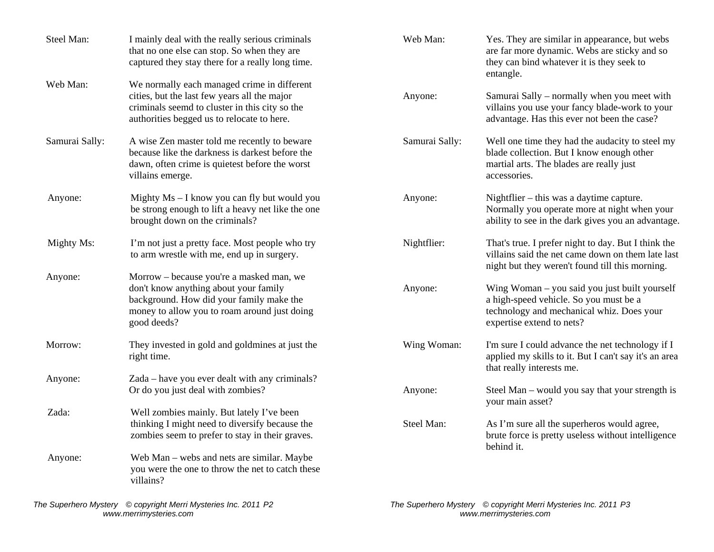| Steel Man:     | I mainly deal with the really serious criminals<br>that no one else can stop. So when they are<br>captured they stay there for a really long time.                                           | Web Man:       | Yes. They are similar in appearance, but webs<br>are far more dynamic. Webs are sticky and so<br>they can bind whatever it is they seek to<br>entangle.           |
|----------------|----------------------------------------------------------------------------------------------------------------------------------------------------------------------------------------------|----------------|-------------------------------------------------------------------------------------------------------------------------------------------------------------------|
| Web Man:       | We normally each managed crime in different<br>cities, but the last few years all the major<br>criminals seemd to cluster in this city so the<br>authorities begged us to relocate to here.  | Anyone:        | Samurai Sally – normally when you meet with<br>villains you use your fancy blade-work to your<br>advantage. Has this ever not been the case?                      |
| Samurai Sally: | A wise Zen master told me recently to beware<br>because like the darkness is darkest before the<br>dawn, often crime is quietest before the worst<br>villains emerge.                        | Samurai Sally: | Well one time they had the audacity to steel my<br>blade collection. But I know enough other<br>martial arts. The blades are really just<br>accessories.          |
| Anyone:        | Mighty Ms - I know you can fly but would you<br>be strong enough to lift a heavy net like the one<br>brought down on the criminals?                                                          | Anyone:        | Nightflier – this was a daytime capture.<br>Normally you operate more at night when your<br>ability to see in the dark gives you an advantage.                    |
| Mighty Ms:     | I'm not just a pretty face. Most people who try<br>to arm wrestle with me, end up in surgery.                                                                                                | Nightflier:    | That's true. I prefer night to day. But I think the<br>villains said the net came down on them late last<br>night but they weren't found till this morning.       |
| Anyone:        | Morrow – because you're a masked man, we<br>don't know anything about your family<br>background. How did your family make the<br>money to allow you to roam around just doing<br>good deeds? | Anyone:        | Wing Woman - you said you just built yourself<br>a high-speed vehicle. So you must be a<br>technology and mechanical whiz. Does your<br>expertise extend to nets? |
| Morrow:        | They invested in gold and goldmines at just the<br>right time.                                                                                                                               | Wing Woman:    | I'm sure I could advance the net technology if I<br>applied my skills to it. But I can't say it's an area<br>that really interests me.                            |
| Anyone:        | Zada – have you ever dealt with any criminals?<br>Or do you just deal with zombies?                                                                                                          | Anyone:        | Steel Man – would you say that your strength is<br>your main asset?                                                                                               |
| Zada:          | Well zombies mainly. But lately I've been<br>thinking I might need to diversify because the<br>zombies seem to prefer to stay in their graves.                                               | Steel Man:     | As I'm sure all the superheros would agree,<br>brute force is pretty useless without intelligence<br>behind it.                                                   |
| Anyone:        | Web Man - webs and nets are similar. Maybe<br>you were the one to throw the net to catch these<br>villains?                                                                                  |                |                                                                                                                                                                   |

*The Superhero Mystery © copyright Merri Mysteries Inc. 2011 P2 www.merrimysteries.com* 

*The Superhero Mystery © copyright Merri Mysteries Inc. 2011 P3 www.merrimysteries.com*